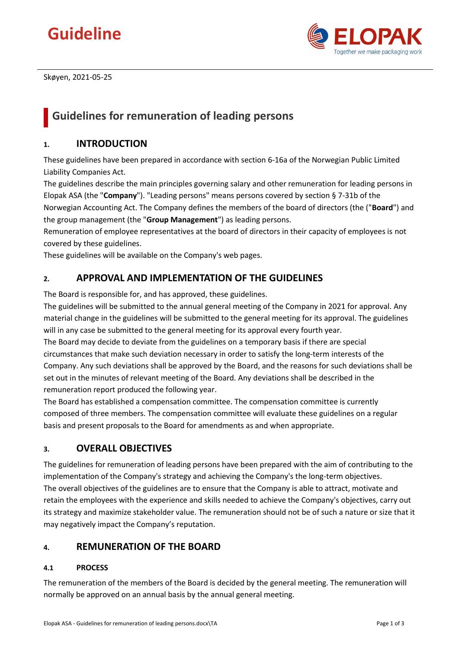# **Guideline**



Skøyen, 2021-05-25

## **Guidelines for remuneration of leading persons**

## **1. INTRODUCTION**

These guidelines have been prepared in accordance with section 6-16a of the Norwegian Public Limited Liability Companies Act.

The guidelines describe the main principles governing salary and other remuneration for leading persons in Elopak ASA (the "**Company**"). "Leading persons" means persons covered by section § 7-31b of the Norwegian Accounting Act. The Company defines the members of the board of directors (the ("**Board**") and the group management (the "**Group Management**") as leading persons.

Remuneration of employee representatives at the board of directors in their capacity of employees is not covered by these guidelines.

These guidelines will be available on the Company's web pages.

## **2. APPROVAL AND IMPLEMENTATION OF THE GUIDELINES**

The Board is responsible for, and has approved, these guidelines.

The guidelines will be submitted to the annual general meeting of the Company in 2021 for approval. Any material change in the guidelines will be submitted to the general meeting for its approval. The guidelines will in any case be submitted to the general meeting for its approval every fourth year.

The Board may decide to deviate from the guidelines on a temporary basis if there are special circumstances that make such deviation necessary in order to satisfy the long-term interests of the Company. Any such deviations shall be approved by the Board, and the reasons for such deviations shall be set out in the minutes of relevant meeting of the Board. Any deviations shall be described in the remuneration report produced the following year.

The Board has established a compensation committee. The compensation committee is currently composed of three members. The compensation committee will evaluate these guidelines on a regular basis and present proposals to the Board for amendments as and when appropriate.

## **3. OVERALL OBJECTIVES**

The guidelines for remuneration of leading persons have been prepared with the aim of contributing to the implementation of the Company's strategy and achieving the Company's the long-term objectives. The overall objectives of the guidelines are to ensure that the Company is able to attract, motivate and retain the employees with the experience and skills needed to achieve the Company's objectives, carry out its strategy and maximize stakeholder value. The remuneration should not be of such a nature or size that it may negatively impact the Company's reputation.

## **4. REMUNERATION OF THE BOARD**

## **4.1 PROCESS**

The remuneration of the members of the Board is decided by the general meeting. The remuneration will normally be approved on an annual basis by the annual general meeting.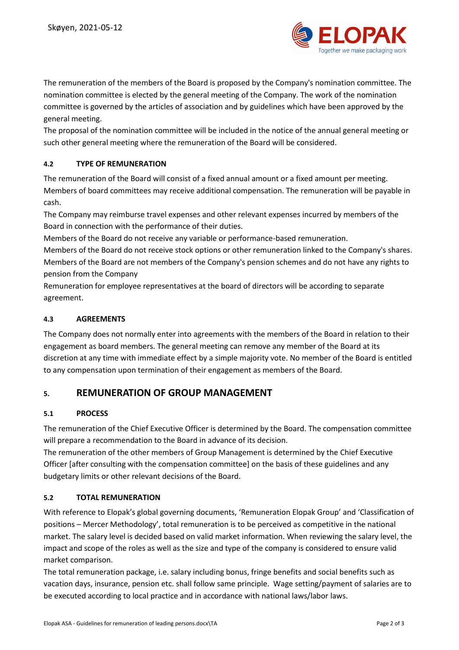

The remuneration of the members of the Board is proposed by the Company's nomination committee. The nomination committee is elected by the general meeting of the Company. The work of the nomination committee is governed by the articles of association and by guidelines which have been approved by the general meeting.

The proposal of the nomination committee will be included in the notice of the annual general meeting or such other general meeting where the remuneration of the Board will be considered.

## **4.2 TYPE OF REMUNERATION**

The remuneration of the Board will consist of a fixed annual amount or a fixed amount per meeting. Members of board committees may receive additional compensation. The remuneration will be payable in cash.

The Company may reimburse travel expenses and other relevant expenses incurred by members of the Board in connection with the performance of their duties.

Members of the Board do not receive any variable or performance-based remuneration.

Members of the Board do not receive stock options or other remuneration linked to the Company's shares. Members of the Board are not members of the Company's pension schemes and do not have any rights to pension from the Company

Remuneration for employee representatives at the board of directors will be according to separate agreement.

## **4.3 AGREEMENTS**

The Company does not normally enter into agreements with the members of the Board in relation to their engagement as board members. The general meeting can remove any member of the Board at its discretion at any time with immediate effect by a simple majority vote. No member of the Board is entitled to any compensation upon termination of their engagement as members of the Board.

## **5. REMUNERATION OF GROUP MANAGEMENT**

## **5.1 PROCESS**

The remuneration of the Chief Executive Officer is determined by the Board. The compensation committee will prepare a recommendation to the Board in advance of its decision.

The remuneration of the other members of Group Management is determined by the Chief Executive Officer [after consulting with the compensation committee] on the basis of these guidelines and any budgetary limits or other relevant decisions of the Board.

## **5.2 TOTAL REMUNERATION**

With reference to Elopak's global governing documents, 'Remuneration Elopak Group' and 'Classification of positions – Mercer Methodology', total remuneration is to be perceived as competitive in the national market. The salary level is decided based on valid market information. When reviewing the salary level, the impact and scope of the roles as well as the size and type of the company is considered to ensure valid market comparison.

The total remuneration package, i.e. salary including bonus, fringe benefits and social benefits such as vacation days, insurance, pension etc. shall follow same principle. Wage setting/payment of salaries are to be executed according to local practice and in accordance with national laws/labor laws.